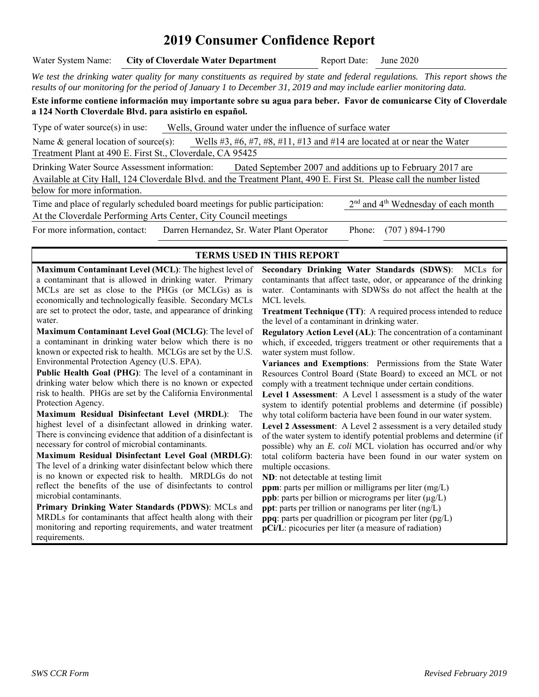# **2019 Consumer Confidence Report**

*We test the drinking water quality for many constituents as required by state and federal regulations. This report shows the results of our monitoring for the period of January 1 to December 31, 2019 and may include earlier monitoring data.* 

**Este informe contiene información muy importante sobre su agua para beber. Favor de comunicarse City of Cloverdale a 124 North Cloverdale Blvd. para asistirlo en español.** 

Type of water source(s) in use: Wells, Ground water under the influence of surface water

Name & general location of source(s): Wells #3, #6, #7, #8, #11, #13 and #14 are located at or near the Water Treatment Plant at 490 E. First St., Cloverdale, CA 95425

Drinking Water Source Assessment information: Dated September 2007 and additions up to February 2017 are Available at City Hall, 124 Cloverdale Blvd. and the Treatment Plant, 490 E. First St. Please call the number listed below for more information.

Time and place of regularly scheduled board meetings for public participation:  $2<sup>nd</sup>$  and  $4<sup>th</sup>$  Wednesday of each month At the Cloverdale Performing Arts Center, City Council meetings For more information, contact: Darren Hernandez, Sr. Water Plant Operator Phone: (707 ) 894-1790

#### **TERMS USED IN THIS REPORT**

**Maximum Contaminant Level (MCL)**: The highest level of a contaminant that is allowed in drinking water. Primary MCLs are set as close to the PHGs (or MCLGs) as is economically and technologically feasible. Secondary MCLs are set to protect the odor, taste, and appearance of drinking water.

**Maximum Contaminant Level Goal (MCLG)**: The level of a contaminant in drinking water below which there is no known or expected risk to health. MCLGs are set by the U.S. Environmental Protection Agency (U.S. EPA).

**Public Health Goal (PHG)**: The level of a contaminant in drinking water below which there is no known or expected risk to health. PHGs are set by the California Environmental Protection Agency.

**Maximum Residual Disinfectant Level (MRDL)**: The highest level of a disinfectant allowed in drinking water. There is convincing evidence that addition of a disinfectant is necessary for control of microbial contaminants.

**Maximum Residual Disinfectant Level Goal (MRDLG)**: The level of a drinking water disinfectant below which there is no known or expected risk to health. MRDLGs do not reflect the benefits of the use of disinfectants to control microbial contaminants.

**Primary Drinking Water Standards (PDWS)**: MCLs and MRDLs for contaminants that affect health along with their monitoring and reporting requirements, and water treatment requirements.

**Secondary Drinking Water Standards (SDWS)**:MCLs for contaminants that affect taste, odor, or appearance of the drinking water. Contaminants with SDWSs do not affect the health at the MCL levels.

**Treatment Technique (TT):** A required process intended to reduce the level of a contaminant in drinking water.

**Regulatory Action Level (AL)**: The concentration of a contaminant which, if exceeded, triggers treatment or other requirements that a water system must follow.

**Variances and Exemptions**: Permissions from the State Water Resources Control Board (State Board) to exceed an MCL or not comply with a treatment technique under certain conditions.

**Level 1 Assessment**: A Level 1 assessment is a study of the water system to identify potential problems and determine (if possible) why total coliform bacteria have been found in our water system.

**Level 2 Assessment**: A Level 2 assessment is a very detailed study of the water system to identify potential problems and determine (if possible) why an *E. coli* MCL violation has occurred and/or why total coliform bacteria have been found in our water system on multiple occasions.

**ND**: not detectable at testing limit

**ppm**: parts per million or milligrams per liter (mg/L)

**ppb**: parts per billion or micrograms per liter  $(\mu g/L)$ 

**ppt**: parts per trillion or nanograms per liter (ng/L) **ppq**: parts per quadrillion or picogram per liter (pg/L)

**pCi/L**: picocuries per liter (a measure of radiation)

Water System Name: **City of Cloverdale Water Department** Report Date: June 2020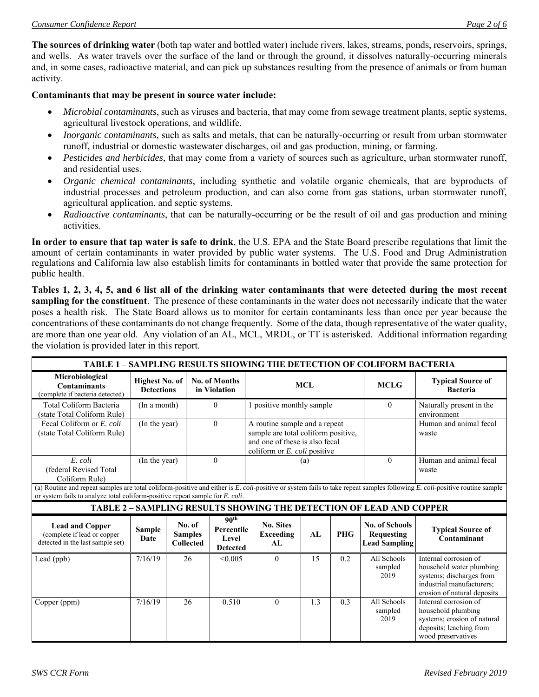**The sources of drinking water** (both tap water and bottled water) include rivers, lakes, streams, ponds, reservoirs, springs, and wells. As water travels over the surface of the land or through the ground, it dissolves naturally-occurring minerals and, in some cases, radioactive material, and can pick up substances resulting from the presence of animals or from human activity.

#### **Contaminants that may be present in source water include:**

- *Microbial contaminants*, such as viruses and bacteria, that may come from sewage treatment plants, septic systems, agricultural livestock operations, and wildlife.
- *Inorganic contaminants*, such as salts and metals, that can be naturally-occurring or result from urban stormwater runoff, industrial or domestic wastewater discharges, oil and gas production, mining, or farming.
- *Pesticides and herbicides*, that may come from a variety of sources such as agriculture, urban stormwater runoff, and residential uses.
- *Organic chemical contaminants*, including synthetic and volatile organic chemicals, that are byproducts of industrial processes and petroleum production, and can also come from gas stations, urban stormwater runoff, agricultural application, and septic systems.
- *Radioactive contaminants*, that can be naturally-occurring or be the result of oil and gas production and mining activities.

**In order to ensure that tap water is safe to drink**, the U.S. EPA and the State Board prescribe regulations that limit the amount of certain contaminants in water provided by public water systems. The U.S. Food and Drug Administration regulations and California law also establish limits for contaminants in bottled water that provide the same protection for public health.

**Tables 1, 2, 3, 4, 5, and 6 list all of the drinking water contaminants that were detected during the most recent sampling for the constituent**. The presence of these contaminants in the water does not necessarily indicate that the water poses a health risk. The State Board allows us to monitor for certain contaminants less than once per year because the concentrations of these contaminants do not change frequently. Some of the data, though representative of the water quality, are more than one year old. Any violation of an AL, MCL, MRDL, or TT is asterisked. Additional information regarding the violation is provided later in this report.

| <b>TABLE 1 - SAMPLING RESULTS SHOWING THE DETECTION OF COLIFORM BACTERIA</b>                                                                                                                                                                                |                                     |  |                                              |                                                            |                                                                                                                                                  |     |            |                                                             |                                                                                                                                           |
|-------------------------------------------------------------------------------------------------------------------------------------------------------------------------------------------------------------------------------------------------------------|-------------------------------------|--|----------------------------------------------|------------------------------------------------------------|--------------------------------------------------------------------------------------------------------------------------------------------------|-----|------------|-------------------------------------------------------------|-------------------------------------------------------------------------------------------------------------------------------------------|
| Microbiological<br><b>Contaminants</b><br>(complete if bacteria detected)                                                                                                                                                                                   | Highest No. of<br><b>Detections</b> |  | <b>No. of Months</b><br>in Violation         |                                                            | <b>MCL</b>                                                                                                                                       |     |            | <b>MCLG</b>                                                 | <b>Typical Source of</b><br><b>Bacteria</b>                                                                                               |
| Total Coliform Bacteria<br>(state Total Coliform Rule)                                                                                                                                                                                                      | (In a month)                        |  | $\Omega$                                     |                                                            | 1 positive monthly sample                                                                                                                        |     |            | $\theta$                                                    | Naturally present in the<br>environment                                                                                                   |
| Fecal Coliform or E. coli<br>(state Total Coliform Rule)                                                                                                                                                                                                    | (In the year)                       |  |                                              | $\theta$                                                   | A routine sample and a repeat<br>sample are total coliform positive,<br>and one of these is also fecal<br>coliform or $E$ , <i>coli</i> positive |     |            |                                                             | Human and animal fecal<br>waste                                                                                                           |
| E. coli<br>(federal Revised Total<br>Coliform Rule)                                                                                                                                                                                                         | (In the year)                       |  |                                              | $\theta$                                                   |                                                                                                                                                  | (a) |            | $\theta$                                                    | Human and animal fecal<br>waste                                                                                                           |
| (a) Routine and repeat samples are total coliform-positive and either is E. coli-positive or system fails to take repeat samples following E. coli-positive routine sample<br>or system fails to analyze total coliform-positive repeat sample for E. coli. |                                     |  |                                              |                                                            |                                                                                                                                                  |     |            |                                                             |                                                                                                                                           |
| TABLE 2 - SAMPLING RESULTS SHOWING THE DETECTION OF LEAD AND COPPER                                                                                                                                                                                         |                                     |  |                                              |                                                            |                                                                                                                                                  |     |            |                                                             |                                                                                                                                           |
| <b>Lead and Copper</b><br>(complete if lead or copper<br>detected in the last sample set)                                                                                                                                                                   | <b>Sample</b><br>Date               |  | No. of<br><b>Samples</b><br><b>Collected</b> | 90 <sup>th</sup><br>Percentile<br>Level<br><b>Detected</b> | <b>No. Sites</b><br><b>Exceeding</b><br>AI                                                                                                       | AL  | <b>PHG</b> | No. of Schools<br><b>Requesting</b><br><b>Lead Sampling</b> | <b>Typical Source of</b><br>Contaminant                                                                                                   |
| Lead (ppb)                                                                                                                                                                                                                                                  | 7/16/19                             |  | 26                                           | < 0.005                                                    | $\theta$                                                                                                                                         | 15  | 0.2        | All Schools<br>sampled<br>2019                              | Internal corrosion of<br>household water plumbing<br>systems; discharges from<br>industrial manufacturers:<br>erosion of natural deposits |
| Copper (ppm)                                                                                                                                                                                                                                                | 7/16/19                             |  | 26                                           | 0.510                                                      | $\theta$                                                                                                                                         | 1.3 | 0.3        | All Schools<br>sampled<br>2019                              | Internal corrosion of<br>household plumbing<br>systems; erosion of natural<br>deposits; leaching from<br>wood preservatives               |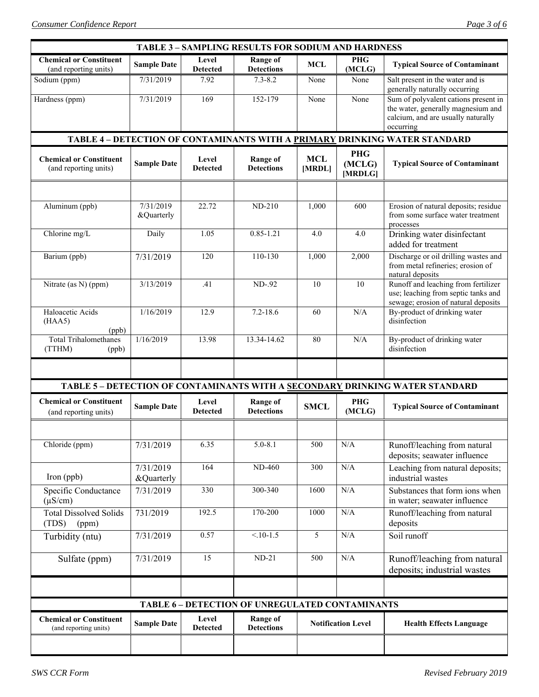| <b>TABLE 3 - SAMPLING RESULTS FOR SODIUM AND HARDNESS</b> |                         |                                                                            |                                      |                           |                                 |                                                                                                                               |  |
|-----------------------------------------------------------|-------------------------|----------------------------------------------------------------------------|--------------------------------------|---------------------------|---------------------------------|-------------------------------------------------------------------------------------------------------------------------------|--|
| <b>Chemical or Constituent</b><br>(and reporting units)   | <b>Sample Date</b>      | Level<br><b>Detected</b>                                                   | <b>Range of</b><br><b>Detections</b> | <b>MCL</b>                | <b>PHG</b><br>(MCLG)            | <b>Typical Source of Contaminant</b>                                                                                          |  |
| Sodium (ppm)                                              | 7/31/2019               | 7.92                                                                       | $7.3 - 8.2$                          | None                      | None                            | Salt present in the water and is<br>generally naturally occurring                                                             |  |
| Hardness (ppm)                                            | 7/31/2019               | 169                                                                        | 152-179                              | None                      | None                            | Sum of polyvalent cations present in<br>the water, generally magnesium and<br>calcium, and are usually naturally<br>occurring |  |
|                                                           |                         | TABLE 4 - DETECTION OF CONTAMINANTS WITH A PRIMARY DRINKING WATER STANDARD |                                      |                           |                                 |                                                                                                                               |  |
| <b>Chemical or Constituent</b><br>(and reporting units)   | <b>Sample Date</b>      | Level<br><b>Detected</b>                                                   | <b>Range of</b><br><b>Detections</b> | <b>MCL</b><br>[MRDL]      | <b>PHG</b><br>(MCLG)<br>[MRDLG] | <b>Typical Source of Contaminant</b>                                                                                          |  |
|                                                           |                         |                                                                            |                                      |                           |                                 |                                                                                                                               |  |
| Aluminum (ppb)                                            | 7/31/2019<br>&Quarterly | 22.72                                                                      | $ND-210$                             | 1,000                     | 600                             | Erosion of natural deposits; residue<br>from some surface water treatment<br>processes                                        |  |
| Chlorine mg/L                                             | Daily                   | 1.05                                                                       | $0.85 - 1.21$                        | 4.0                       | 4.0                             | Drinking water disinfectant<br>added for treatment                                                                            |  |
| Barium (ppb)                                              | 7/31/2019               | 120                                                                        | 110-130                              | 1,000                     | 2,000                           | Discharge or oil drilling wastes and<br>from metal refineries; erosion of<br>natural deposits                                 |  |
| Nitrate (as N) (ppm)                                      | 3/13/2019               | .41                                                                        | ND-.92                               | 10                        | 10                              | Runoff and leaching from fertilizer<br>use; leaching from septic tanks and<br>sewage; erosion of natural deposits             |  |
| Haloacetic Acids<br>(HAA5)<br>(ppb)                       | 1/16/2019               | 12.9                                                                       | $7.2 - 18.6$                         | 60                        | N/A                             | By-product of drinking water<br>disinfection                                                                                  |  |
| <b>Total Trihalomethanes</b><br>(TTHM)<br>(ppb)           | 1/16/2019               | 13.98                                                                      | 13.34-14.62                          | 80                        | N/A                             | By-product of drinking water<br>disinfection                                                                                  |  |
|                                                           |                         |                                                                            |                                      |                           |                                 |                                                                                                                               |  |
|                                                           |                         |                                                                            |                                      |                           |                                 | TABLE 5 - DETECTION OF CONTAMINANTS WITH A SECONDARY DRINKING WATER STANDARD                                                  |  |
| <b>Chemical or Constituent</b><br>(and reporting units)   | <b>Sample Date</b>      | Level<br><b>Detected</b>                                                   | <b>Range of</b><br><b>Detections</b> | <b>SMCL</b>               | <b>PHG</b><br>(MCLG)            | <b>Typical Source of Contaminant</b>                                                                                          |  |
|                                                           |                         |                                                                            |                                      |                           |                                 |                                                                                                                               |  |
| Chloride (ppm)                                            | 7/31/2019               | 6.35                                                                       | $5.0 - 8.1$                          | 500                       | $\rm N/A$                       | Runoff/leaching from natural<br>deposits; seawater influence                                                                  |  |
| Iron (ppb)                                                | 7/31/2019<br>&Quarterly | 164                                                                        | <b>ND-460</b>                        | 300                       | $\rm N/A$                       | Leaching from natural deposits;<br>industrial wastes                                                                          |  |
| Specific Conductance<br>$(\mu S/cm)$                      | 7/31/2019               | 330                                                                        | 300-340                              | 1600                      | $\rm N/A$                       | Substances that form ions when<br>in water; seawater influence                                                                |  |
| <b>Total Dissolved Solids</b><br>(TDS)<br>(ppm)           | 731/2019                | 192.5                                                                      | 170-200                              | 1000                      | N/A                             | Runoff/leaching from natural<br>deposits                                                                                      |  |
| Turbidity (ntu)                                           | 7/31/2019               | 0.57                                                                       | $< 10-1.5$                           | 5                         | N/A                             | Soil runoff                                                                                                                   |  |
| Sulfate (ppm)                                             | 7/31/2019               | 15                                                                         | $ND-21$                              | 500                       | $\rm N/A$                       | Runoff/leaching from natural<br>deposits; industrial wastes                                                                   |  |
|                                                           |                         |                                                                            |                                      |                           |                                 |                                                                                                                               |  |
| TABLE 6 - DETECTION OF UNREGULATED CONTAMINANTS           |                         |                                                                            |                                      |                           |                                 |                                                                                                                               |  |
| <b>Chemical or Constituent</b><br>(and reporting units)   | <b>Sample Date</b>      | Level<br><b>Detected</b>                                                   | <b>Range of</b><br><b>Detections</b> | <b>Notification Level</b> |                                 | <b>Health Effects Language</b>                                                                                                |  |
|                                                           |                         |                                                                            |                                      |                           |                                 |                                                                                                                               |  |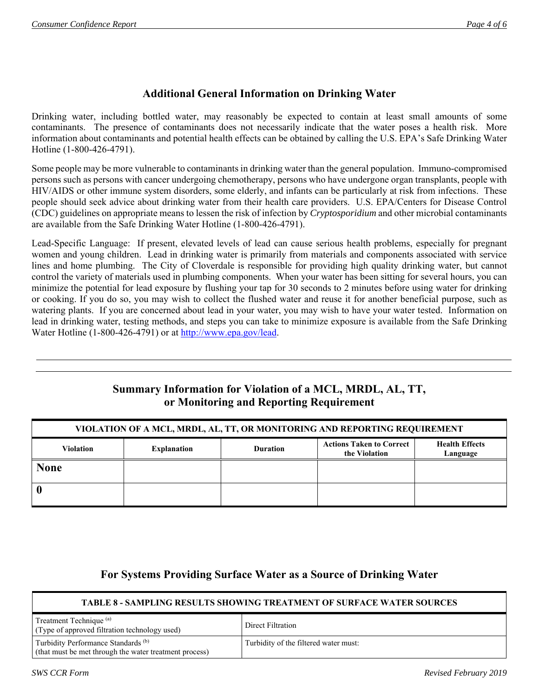# **Additional General Information on Drinking Water**

Drinking water, including bottled water, may reasonably be expected to contain at least small amounts of some contaminants. The presence of contaminants does not necessarily indicate that the water poses a health risk. More information about contaminants and potential health effects can be obtained by calling the U.S. EPA's Safe Drinking Water Hotline (1-800-426-4791).

Some people may be more vulnerable to contaminants in drinking water than the general population. Immuno-compromised persons such as persons with cancer undergoing chemotherapy, persons who have undergone organ transplants, people with HIV/AIDS or other immune system disorders, some elderly, and infants can be particularly at risk from infections. These people should seek advice about drinking water from their health care providers. U.S. EPA/Centers for Disease Control (CDC) guidelines on appropriate means to lessen the risk of infection by *Cryptosporidium* and other microbial contaminants are available from the Safe Drinking Water Hotline (1-800-426-4791).

Lead-Specific Language: If present, elevated levels of lead can cause serious health problems, especially for pregnant women and young children. Lead in drinking water is primarily from materials and components associated with service lines and home plumbing. The City of Cloverdale is responsible for providing high quality drinking water, but cannot control the variety of materials used in plumbing components. When your water has been sitting for several hours, you can minimize the potential for lead exposure by flushing your tap for 30 seconds to 2 minutes before using water for drinking or cooking. If you do so, you may wish to collect the flushed water and reuse it for another beneficial purpose, such as watering plants. If you are concerned about lead in your water, you may wish to have your water tested. Information on lead in drinking water, testing methods, and steps you can take to minimize exposure is available from the Safe Drinking Water Hotline (1-800-426-4791) or at http://www.epa.gov/lead.

### **Summary Information for Violation of a MCL, MRDL, AL, TT, or Monitoring and Reporting Requirement**

| VIOLATION OF A MCL, MRDL, AL, TT, OR MONITORING AND REPORTING REQUIREMENT |                    |                 |                                                  |                                   |  |  |
|---------------------------------------------------------------------------|--------------------|-----------------|--------------------------------------------------|-----------------------------------|--|--|
| <b>Violation</b>                                                          | <b>Explanation</b> | <b>Duration</b> | <b>Actions Taken to Correct</b><br>the Violation | <b>Health Effects</b><br>Language |  |  |
| <b>None</b>                                                               |                    |                 |                                                  |                                   |  |  |
|                                                                           |                    |                 |                                                  |                                   |  |  |

### **For Systems Providing Surface Water as a Source of Drinking Water**

| <b>TABLE 8 - SAMPLING RESULTS SHOWING TREATMENT OF SURFACE WATER SOURCES</b>                  |                                       |  |  |  |  |
|-----------------------------------------------------------------------------------------------|---------------------------------------|--|--|--|--|
| Treatment Technique <sup>(a)</sup><br>(Type of approved filtration technology used)           | Direct Filtration                     |  |  |  |  |
| Turbidity Performance Standards (b)<br>(that must be met through the water treatment process) | Turbidity of the filtered water must: |  |  |  |  |